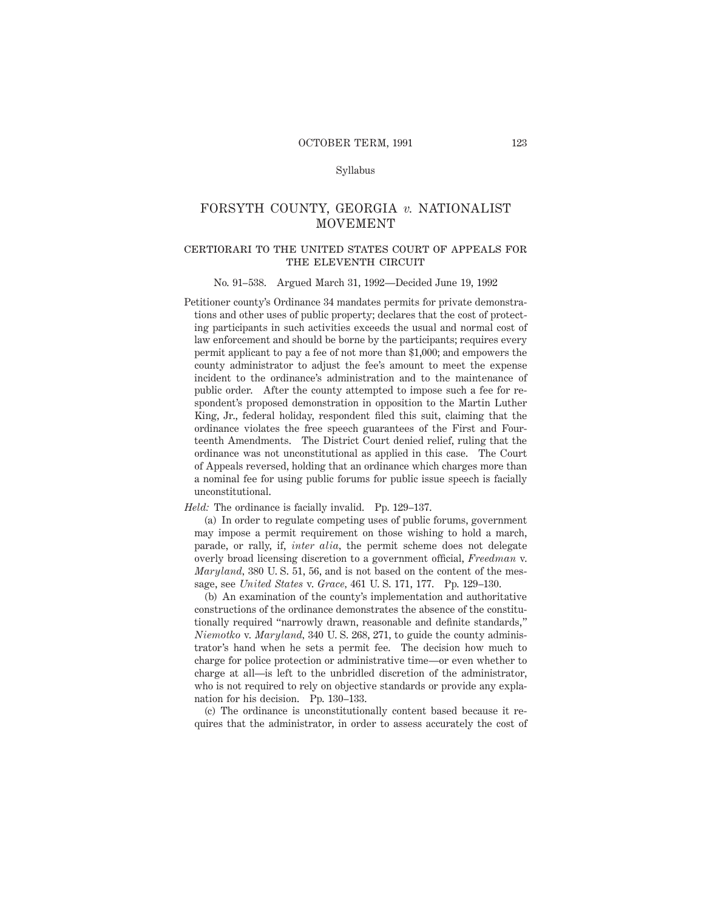## Syllabus

# FORSYTH COUNTY, GEORGIA *v.* NATIONALIST MOVEMENT

## certiorari to the united states court of appeals forTHE ELEVENTH CIRCUIT

## No. 91–538. Argued March 31, 1992—Decided June 19, 1992

Petitioner county's Ordinance 34 mandates permits for private demonstrations and other uses of public property; declares that the cost of protecting participants in such activities exceeds the usual and normal cost of law enforcement and should be borne by the participants; requires every permit applicant to pay a fee of not more than \$1,000; and empowers the county administrator to adjust the fee's amount to meet the expense incident to the ordinance's administration and to the maintenance of public order. After the county attempted to impose such a fee for respondent's proposed demonstration in opposition to the Martin Luther King, Jr., federal holiday, respondent filed this suit, claiming that the ordinance violates the free speech guarantees of the First and Fourteenth Amendments. The District Court denied relief, ruling that the ordinance was not unconstitutional as applied in this case. The Court of Appeals reversed, holding that an ordinance which charges more than a nominal fee for using public forums for public issue speech is facially unconstitutional.

#### *Held:* The ordinance is facially invalid. Pp. 129–137.

(a) In order to regulate competing uses of public forums, government may impose a permit requirement on those wishing to hold a march, parade, or rally, if, *inter alia,* the permit scheme does not delegate overly broad licensing discretion to a government official, *Freedman* v. *Maryland,* 380 U. S. 51, 56, and is not based on the content of the message, see *United States* v. *Grace,* 461 U. S. 171, 177. Pp. 129–130.

(b) An examination of the county's implementation and authoritative constructions of the ordinance demonstrates the absence of the constitutionally required "narrowly drawn, reasonable and definite standards," *Niemotko* v. *Maryland,* 340 U. S. 268, 271, to guide the county administrator's hand when he sets a permit fee. The decision how much to charge for police protection or administrative time—or even whether to charge at all—is left to the unbridled discretion of the administrator, who is not required to rely on objective standards or provide any explanation for his decision. Pp. 130–133.

(c) The ordinance is unconstitutionally content based because it requires that the administrator, in order to assess accurately the cost of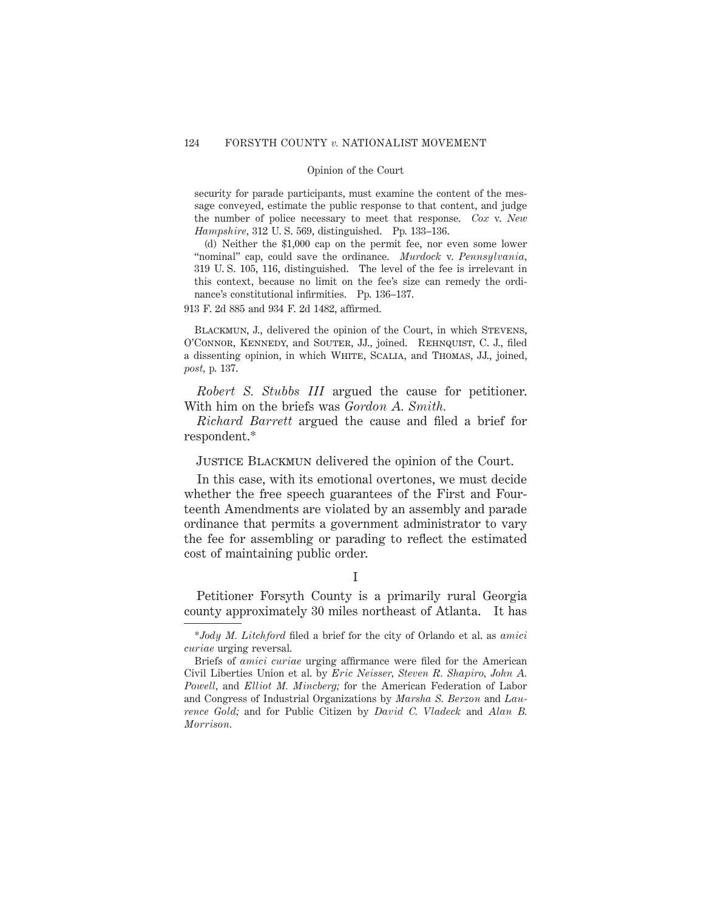security for parade participants, must examine the content of the message conveyed, estimate the public response to that content, and judge the number of police necessary to meet that response. *Cox* v. *New Hampshire,* 312 U. S. 569, distinguished. Pp. 133–136.

(d) Neither the \$1,000 cap on the permit fee, nor even some lower "nominal" cap, could save the ordinance. *Murdock* v. *Pennsylvania,* 319 U. S. 105, 116, distinguished. The level of the fee is irrelevant in this context, because no limit on the fee's size can remedy the ordinance's constitutional infirmities. Pp. 136–137.

913 F. 2d 885 and 934 F. 2d 1482, affirmed.

BLACKMUN, J., delivered the opinion of the Court, in which STEVENS, O'CONNOR, KENNEDY, and SOUTER, JJ., joined. REHNQUIST, C. J., filed a dissenting opinion, in which White, Scalia, and Thomas, JJ., joined, *post,* p. 137.

*Robert S. Stubbs III* argued the cause for petitioner. With him on the briefs was *Gordon A. Smith.*

*Richard Barrett* argued the cause and filed a brief for respondent.\*

JUSTICE BLACKMUN delivered the opinion of the Court.

In this case, with its emotional overtones, we must decide whether the free speech guarantees of the First and Fourteenth Amendments are violated by an assembly and parade ordinance that permits a government administrator to vary the fee for assembling or parading to reflect the estimated cost of maintaining public order.

## I

Petitioner Forsyth County is a primarily rural Georgia county approximately 30 miles northeast of Atlanta. It has

<sup>\*</sup>*Jody M. Litchford* filed a brief for the city of Orlando et al. as *amici curiae* urging reversal.

Briefs of *amici curiae* urging affirmance were filed for the American Civil Liberties Union et al. by *Eric Neisser, Steven R. Shapiro, John A. Powell,* and *Elliot M. Mincberg;* for the American Federation of Labor and Congress of Industrial Organizations by *Marsha S. Berzon* and *Laurence Gold;* and for Public Citizen by *David C. Vladeck* and *Alan B. Morrison.*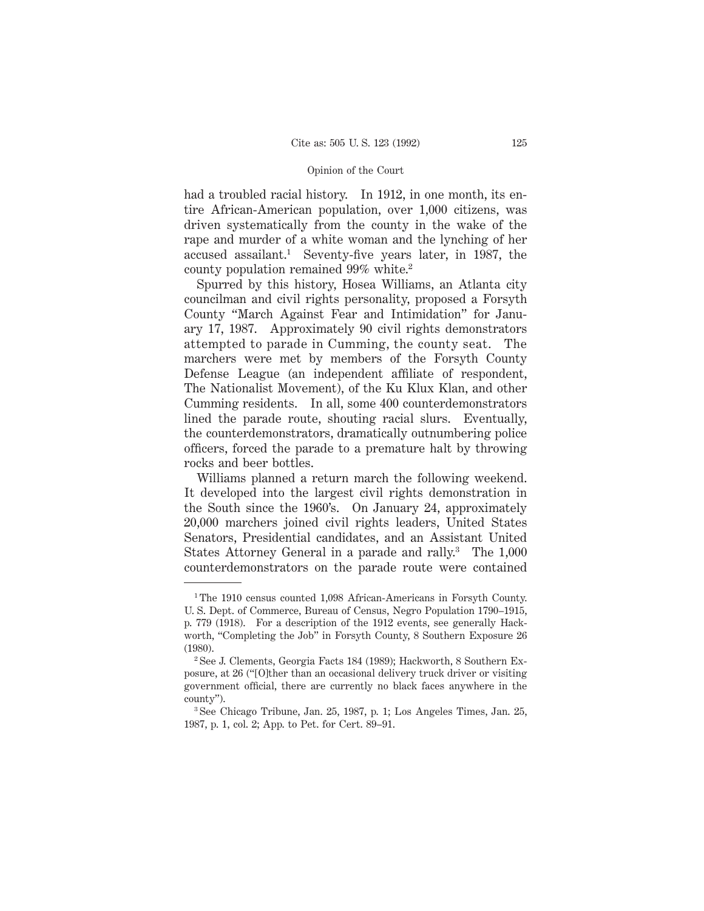had a troubled racial history. In 1912, in one month, its entire African-American population, over 1,000 citizens, was driven systematically from the county in the wake of the rape and murder of a white woman and the lynching of her accused assailant.1 Seventy-five years later, in 1987, the county population remained 99% white.2

Spurred by this history, Hosea Williams, an Atlanta city councilman and civil rights personality, proposed a Forsyth County "March Against Fear and Intimidation" for January 17, 1987. Approximately 90 civil rights demonstrators attempted to parade in Cumming, the county seat. The marchers were met by members of the Forsyth County Defense League (an independent affiliate of respondent, The Nationalist Movement), of the Ku Klux Klan, and other Cumming residents. In all, some 400 counterdemonstrators lined the parade route, shouting racial slurs. Eventually, the counterdemonstrators, dramatically outnumbering police officers, forced the parade to a premature halt by throwing rocks and beer bottles.

Williams planned a return march the following weekend. It developed into the largest civil rights demonstration in the South since the 1960's. On January 24, approximately 20,000 marchers joined civil rights leaders, United States Senators, Presidential candidates, and an Assistant United States Attorney General in a parade and rally.<sup>3</sup> The 1,000 counterdemonstrators on the parade route were contained

<sup>&</sup>lt;sup>1</sup> The 1910 census counted 1,098 African-Americans in Forsyth County. U. S. Dept. of Commerce, Bureau of Census, Negro Population 1790–1915, p. 779 (1918). For a description of the 1912 events, see generally Hackworth, "Completing the Job" in Forsyth County, 8 Southern Exposure 26 (1980).

<sup>2</sup> See J. Clements, Georgia Facts 184 (1989); Hackworth, 8 Southern Exposure, at 26 ("[O]ther than an occasional delivery truck driver or visiting government official, there are currently no black faces anywhere in the county").

<sup>3</sup> See Chicago Tribune, Jan. 25, 1987, p. 1; Los Angeles Times, Jan. 25, 1987, p. 1, col. 2; App. to Pet. for Cert. 89–91.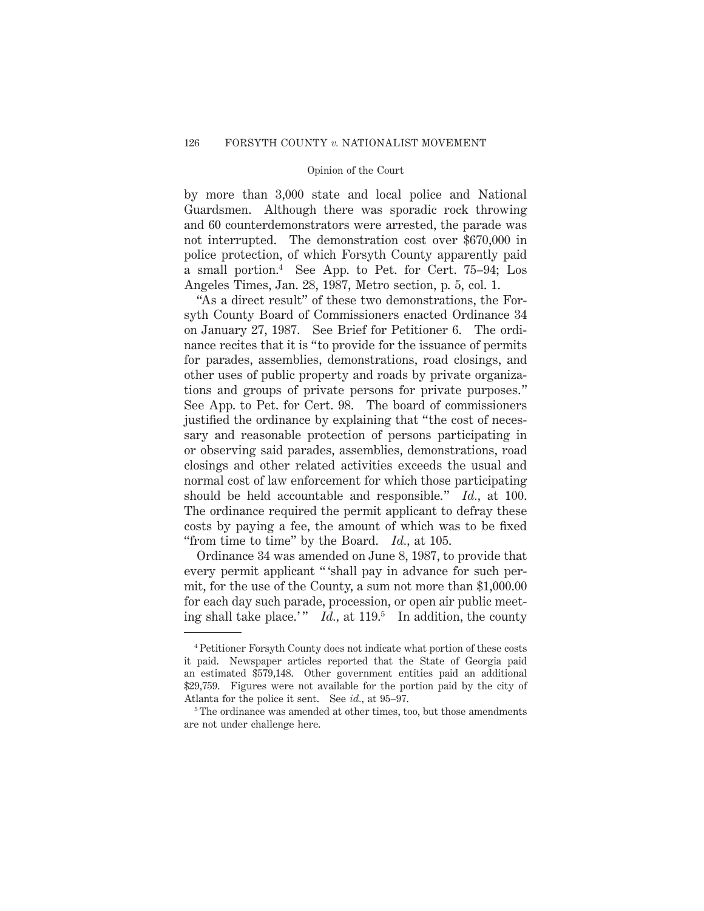by more than 3,000 state and local police and National Guardsmen. Although there was sporadic rock throwing and 60 counterdemonstrators were arrested, the parade was not interrupted. The demonstration cost over \$670,000 in police protection, of which Forsyth County apparently paid a small portion.4 See App. to Pet. for Cert. 75–94; Los Angeles Times, Jan. 28, 1987, Metro section, p. 5, col. 1.

"As a direct result" of these two demonstrations, the Forsyth County Board of Commissioners enacted Ordinance 34 on January 27, 1987. See Brief for Petitioner 6. The ordinance recites that it is "to provide for the issuance of permits for parades, assemblies, demonstrations, road closings, and other uses of public property and roads by private organizations and groups of private persons for private purposes." See App. to Pet. for Cert. 98. The board of commissioners justified the ordinance by explaining that "the cost of necessary and reasonable protection of persons participating in or observing said parades, assemblies, demonstrations, road closings and other related activities exceeds the usual and normal cost of law enforcement for which those participating should be held accountable and responsible." *Id.,* at 100. The ordinance required the permit applicant to defray these costs by paying a fee, the amount of which was to be fixed "from time to time" by the Board. *Id.,* at 105.

Ordinance 34 was amended on June 8, 1987, to provide that every permit applicant " 'shall pay in advance for such permit, for the use of the County, a sum not more than \$1,000.00 for each day such parade, procession, or open air public meeting shall take place.'"  $Id$ , at  $119<sup>5</sup>$  In addition, the county

<sup>4</sup> Petitioner Forsyth County does not indicate what portion of these costs it paid. Newspaper articles reported that the State of Georgia paid an estimated \$579,148. Other government entities paid an additional \$29,759. Figures were not available for the portion paid by the city of Atlanta for the police it sent. See *id.,* at 95–97.

<sup>&</sup>lt;sup>5</sup>The ordinance was amended at other times, too, but those amendments are not under challenge here.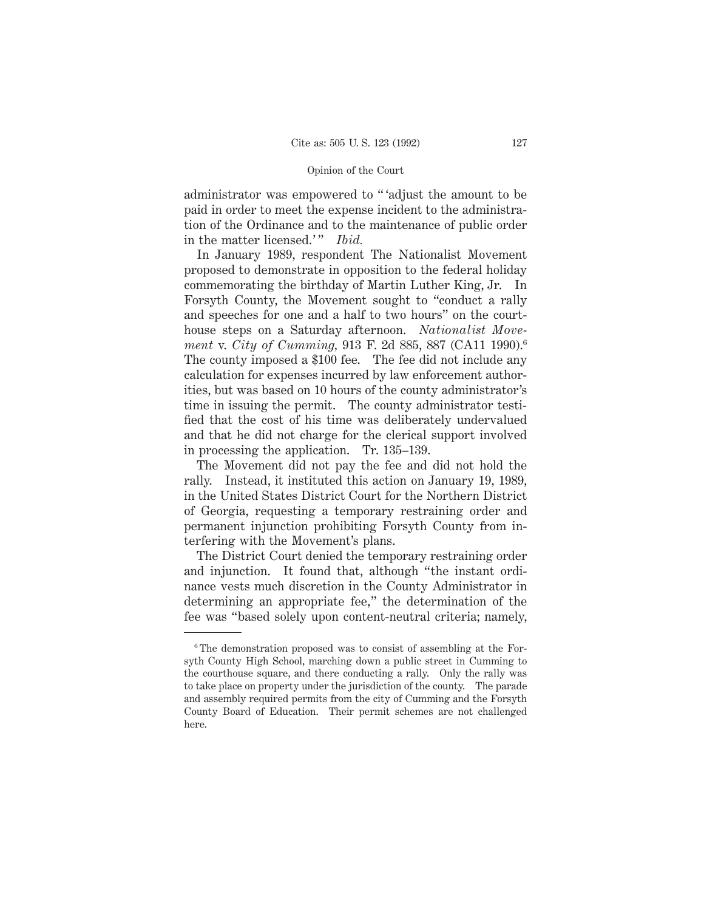administrator was empowered to " 'adjust the amount to be paid in order to meet the expense incident to the administration of the Ordinance and to the maintenance of public order in the matter licensed.'" *Ibid.* 

In January 1989, respondent The Nationalist Movement proposed to demonstrate in opposition to the federal holiday commemorating the birthday of Martin Luther King, Jr. In Forsyth County, the Movement sought to "conduct a rally and speeches for one and a half to two hours" on the courthouse steps on a Saturday afternoon. *Nationalist Movement* v. *City of Cumming,* 913 F. 2d 885, 887 (CA11 1990).6 The county imposed a \$100 fee. The fee did not include any calculation for expenses incurred by law enforcement authorities, but was based on 10 hours of the county administrator's time in issuing the permit. The county administrator testified that the cost of his time was deliberately undervalued and that he did not charge for the clerical support involved in processing the application. Tr. 135–139.

The Movement did not pay the fee and did not hold the rally. Instead, it instituted this action on January 19, 1989, in the United States District Court for the Northern District of Georgia, requesting a temporary restraining order and permanent injunction prohibiting Forsyth County from interfering with the Movement's plans.

The District Court denied the temporary restraining order and injunction. It found that, although "the instant ordinance vests much discretion in the County Administrator in determining an appropriate fee," the determination of the fee was "based solely upon content-neutral criteria; namely,

<sup>&</sup>lt;sup>6</sup>The demonstration proposed was to consist of assembling at the Forsyth County High School, marching down a public street in Cumming to the courthouse square, and there conducting a rally. Only the rally was to take place on property under the jurisdiction of the county. The parade and assembly required permits from the city of Cumming and the Forsyth County Board of Education. Their permit schemes are not challenged here.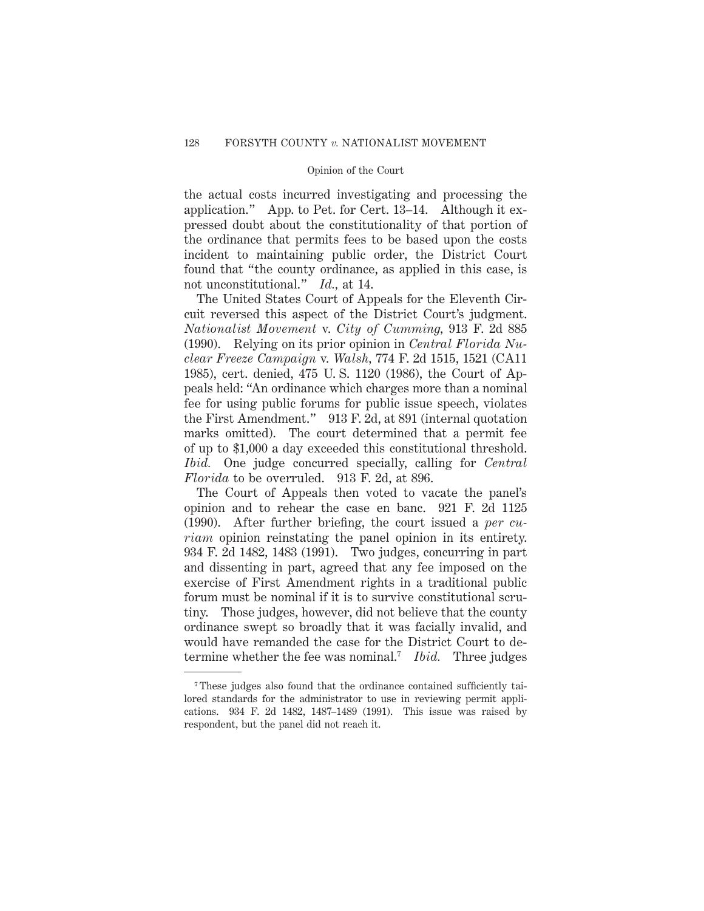the actual costs incurred investigating and processing the application." App. to Pet. for Cert. 13–14. Although it expressed doubt about the constitutionality of that portion of the ordinance that permits fees to be based upon the costs incident to maintaining public order, the District Court found that "the county ordinance, as applied in this case, is not unconstitutional." *Id.,* at 14.

The United States Court of Appeals for the Eleventh Circuit reversed this aspect of the District Court's judgment. *Nationalist Movement* v. *City of Cumming,* 913 F. 2d 885 (1990). Relying on its prior opinion in *Central Florida Nuclear Freeze Campaign* v. *Walsh,* 774 F. 2d 1515, 1521 (CA11 1985), cert. denied, 475 U. S. 1120 (1986), the Court of Appeals held: "An ordinance which charges more than a nominal fee for using public forums for public issue speech, violates the First Amendment." 913 F. 2d, at 891 (internal quotation marks omitted). The court determined that a permit fee of up to \$1,000 a day exceeded this constitutional threshold. *Ibid.* One judge concurred specially, calling for *Central Florida* to be overruled. 913 F. 2d, at 896.

The Court of Appeals then voted to vacate the panel's opinion and to rehear the case en banc. 921 F. 2d 1125 (1990). After further briefing, the court issued a *per curiam* opinion reinstating the panel opinion in its entirety. 934 F. 2d 1482, 1483 (1991). Two judges, concurring in part and dissenting in part, agreed that any fee imposed on the exercise of First Amendment rights in a traditional public forum must be nominal if it is to survive constitutional scrutiny. Those judges, however, did not believe that the county ordinance swept so broadly that it was facially invalid, and would have remanded the case for the District Court to determine whether the fee was nominal.7 *Ibid.* Three judges

<sup>7</sup> These judges also found that the ordinance contained sufficiently tailored standards for the administrator to use in reviewing permit applications. 934 F. 2d 1482, 1487–1489 (1991). This issue was raised by respondent, but the panel did not reach it.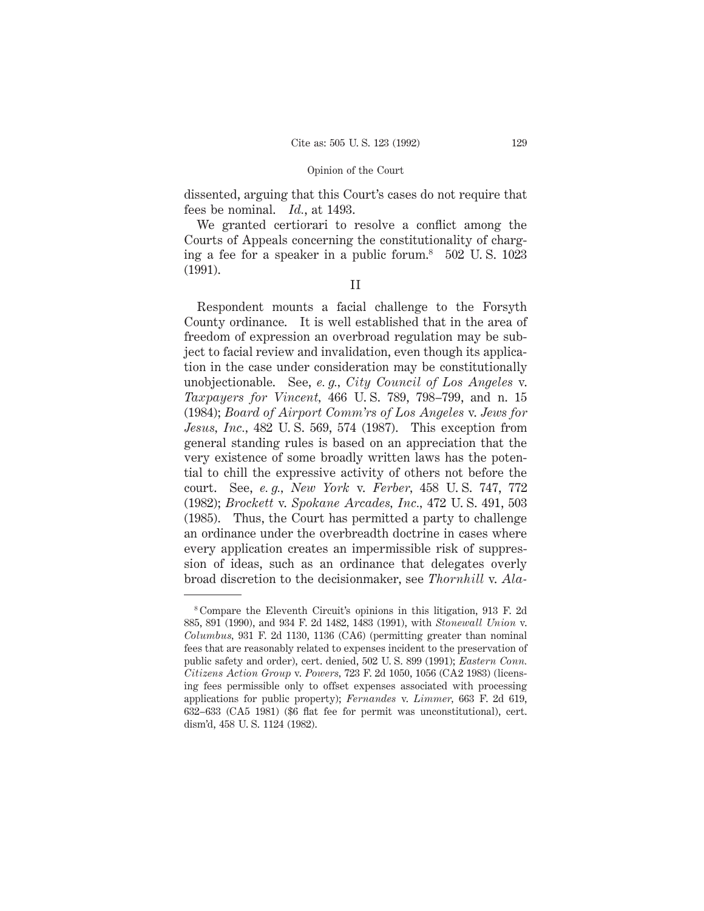dissented, arguing that this Court's cases do not require that fees be nominal. *Id.*, at 1493.

We granted certiorari to resolve a conflict among the Courts of Appeals concerning the constitutionality of charging a fee for a speaker in a public forum.8 502 U. S. 1023 (1991).

Respondent mounts a facial challenge to the Forsyth County ordinance. It is well established that in the area of freedom of expression an overbroad regulation may be subject to facial review and invalidation, even though its application in the case under consideration may be constitutionally unobjectionable. See, *e. g., City Council of Los Angeles* v. *Taxpayers for Vincent,* 466 U. S. 789, 798–799, and n. 15 (1984); *Board of Airport Comm'rs of Los Angeles* v. *Jews for Jesus, Inc.,* 482 U. S. 569, 574 (1987). This exception from general standing rules is based on an appreciation that the very existence of some broadly written laws has the potential to chill the expressive activity of others not before the court. See, *e. g., New York* v. *Ferber,* 458 U. S. 747, 772 (1982); *Brockett* v. *Spokane Arcades, Inc.,* 472 U. S. 491, 503 (1985). Thus, the Court has permitted a party to challenge an ordinance under the overbreadth doctrine in cases where every application creates an impermissible risk of suppression of ideas, such as an ordinance that delegates overly broad discretion to the decisionmaker, see *Thornhill* v. *Ala-*

II

<sup>8</sup> Compare the Eleventh Circuit's opinions in this litigation, 913 F. 2d 885, 891 (1990), and 934 F. 2d 1482, 1483 (1991), with *Stonewall Union* v. *Columbus,* 931 F. 2d 1130, 1136 (CA6) (permitting greater than nominal fees that are reasonably related to expenses incident to the preservation of public safety and order), cert. denied, 502 U. S. 899 (1991); *Eastern Conn. Citizens Action Group* v. *Powers,* 723 F. 2d 1050, 1056 (CA2 1983) (licensing fees permissible only to offset expenses associated with processing applications for public property); *Fernandes* v. *Limmer,* 663 F. 2d 619, 632–633 (CA5 1981) (\$6 flat fee for permit was unconstitutional), cert. dism'd, 458 U. S. 1124 (1982).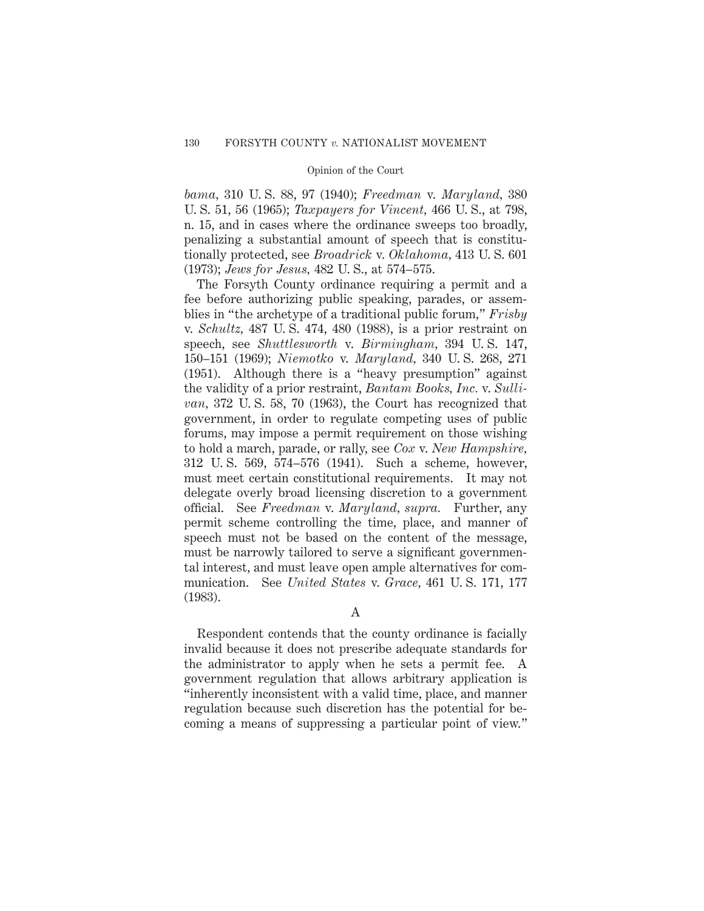*bama,* 310 U. S. 88, 97 (1940); *Freedman* v. *Maryland,* 380 U. S. 51, 56 (1965); *Taxpayers for Vincent,* 466 U. S., at 798, n. 15, and in cases where the ordinance sweeps too broadly, penalizing a substantial amount of speech that is constitutionally protected, see *Broadrick* v. *Oklahoma,* 413 U. S. 601 (1973); *Jews for Jesus,* 482 U. S., at 574–575.

The Forsyth County ordinance requiring a permit and a fee before authorizing public speaking, parades, or assemblies in "the archetype of a traditional public forum," *Frisby* v. *Schultz,* 487 U. S. 474, 480 (1988), is a prior restraint on speech, see *Shuttlesworth* v. *Birmingham,* 394 U. S. 147, 150–151 (1969); *Niemotko* v. *Maryland,* 340 U. S. 268, 271 (1951). Although there is a "heavy presumption" against the validity of a prior restraint, *Bantam Books, Inc.* v. *Sullivan,* 372 U. S. 58, 70 (1963), the Court has recognized that government, in order to regulate competing uses of public forums, may impose a permit requirement on those wishing to hold a march, parade, or rally, see *Cox* v. *New Hampshire,* 312 U. S. 569, 574–576 (1941). Such a scheme, however, must meet certain constitutional requirements. It may not delegate overly broad licensing discretion to a government official. See *Freedman* v. *Maryland, supra.* Further, any permit scheme controlling the time, place, and manner of speech must not be based on the content of the message, must be narrowly tailored to serve a significant governmental interest, and must leave open ample alternatives for communication. See *United States* v. *Grace,* 461 U. S. 171, 177 (1983).

A

Respondent contends that the county ordinance is facially invalid because it does not prescribe adequate standards for the administrator to apply when he sets a permit fee. A government regulation that allows arbitrary application is "inherently inconsistent with a valid time, place, and manner regulation because such discretion has the potential for becoming a means of suppressing a particular point of view."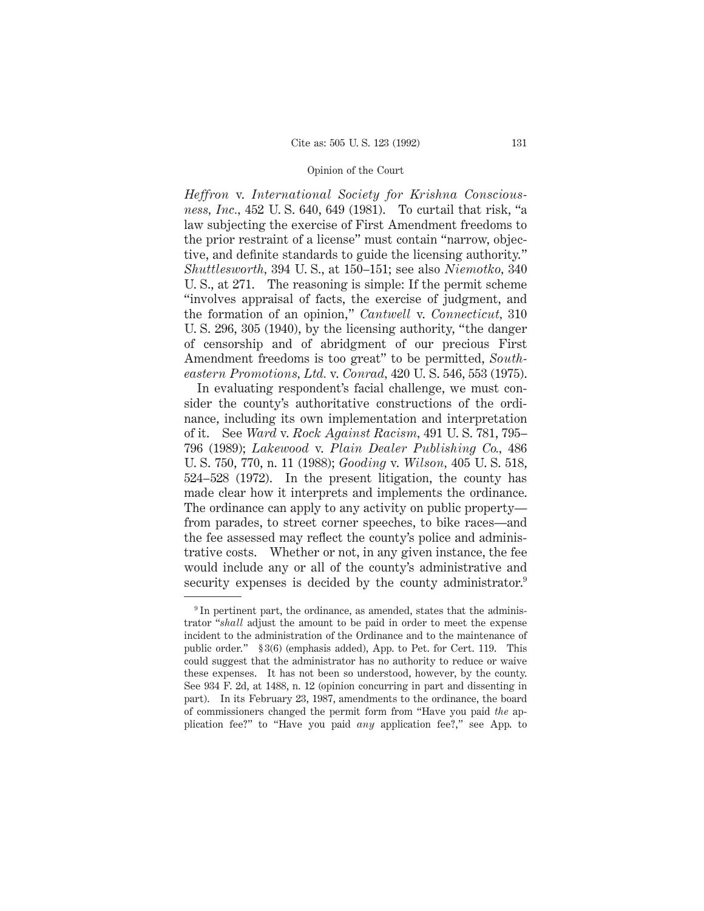*Heffron* v. *International Society for Krishna Consciousness, Inc.,* 452 U. S. 640, 649 (1981). To curtail that risk, "a law subjecting the exercise of First Amendment freedoms to the prior restraint of a license" must contain "narrow, objective, and definite standards to guide the licensing authority." *Shuttlesworth,* 394 U. S., at 150–151; see also *Niemotko,* 340 U. S., at 271. The reasoning is simple: If the permit scheme "involves appraisal of facts, the exercise of judgment, and the formation of an opinion," *Cantwell* v. *Connecticut,* 310 U. S. 296, 305 (1940), by the licensing authority, "the danger of censorship and of abridgment of our precious First Amendment freedoms is too great" to be permitted, *Southeastern Promotions, Ltd.* v. *Conrad,* 420 U. S. 546, 553 (1975).

In evaluating respondent's facial challenge, we must consider the county's authoritative constructions of the ordinance, including its own implementation and interpretation of it. See *Ward* v. *Rock Against Racism,* 491 U. S. 781, 795– 796 (1989); *Lakewood* v. *Plain Dealer Publishing Co.,* 486 U. S. 750, 770, n. 11 (1988); *Gooding* v. *Wilson,* 405 U. S. 518, 524–528 (1972). In the present litigation, the county has made clear how it interprets and implements the ordinance. The ordinance can apply to any activity on public property from parades, to street corner speeches, to bike races—and the fee assessed may reflect the county's police and administrative costs. Whether or not, in any given instance, the fee would include any or all of the county's administrative and security expenses is decided by the county administrator.<sup>9</sup>

<sup>&</sup>lt;sup>9</sup> In pertinent part, the ordinance, as amended, states that the administrator "*shall* adjust the amount to be paid in order to meet the expense incident to the administration of the Ordinance and to the maintenance of public order." § 3(6) (emphasis added), App. to Pet. for Cert. 119. This could suggest that the administrator has no authority to reduce or waive these expenses. It has not been so understood, however, by the county. See 934 F. 2d, at 1488, n. 12 (opinion concurring in part and dissenting in part). In its February 23, 1987, amendments to the ordinance, the board of commissioners changed the permit form from "Have you paid *the* application fee?" to "Have you paid *any* application fee?," see App. to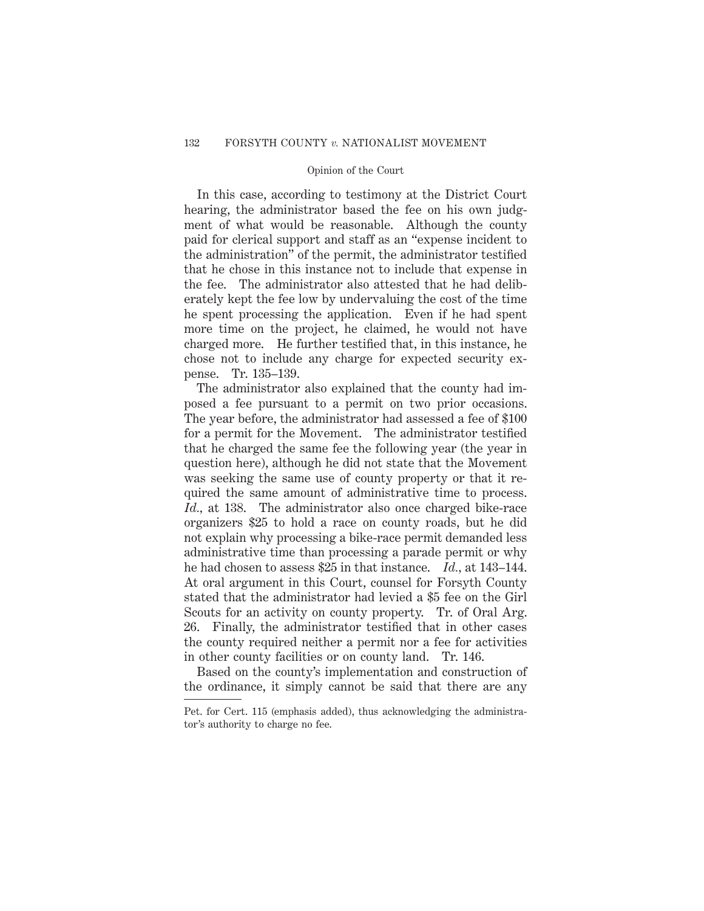In this case, according to testimony at the District Court hearing, the administrator based the fee on his own judgment of what would be reasonable. Although the county paid for clerical support and staff as an "expense incident to the administration" of the permit, the administrator testified that he chose in this instance not to include that expense in the fee. The administrator also attested that he had deliberately kept the fee low by undervaluing the cost of the time he spent processing the application. Even if he had spent more time on the project, he claimed, he would not have charged more. He further testified that, in this instance, he chose not to include any charge for expected security expense. Tr. 135–139.

The administrator also explained that the county had imposed a fee pursuant to a permit on two prior occasions. The year before, the administrator had assessed a fee of \$100 for a permit for the Movement. The administrator testified that he charged the same fee the following year (the year in question here), although he did not state that the Movement was seeking the same use of county property or that it required the same amount of administrative time to process. *Id.,* at 138. The administrator also once charged bike-race organizers \$25 to hold a race on county roads, but he did not explain why processing a bike-race permit demanded less administrative time than processing a parade permit or why he had chosen to assess \$25 in that instance. *Id.,* at 143–144. At oral argument in this Court, counsel for Forsyth County stated that the administrator had levied a \$5 fee on the Girl Scouts for an activity on county property. Tr. of Oral Arg. 26. Finally, the administrator testified that in other cases the county required neither a permit nor a fee for activities in other county facilities or on county land. Tr. 146.

Based on the county's implementation and construction of the ordinance, it simply cannot be said that there are any

Pet. for Cert. 115 (emphasis added), thus acknowledging the administrator's authority to charge no fee.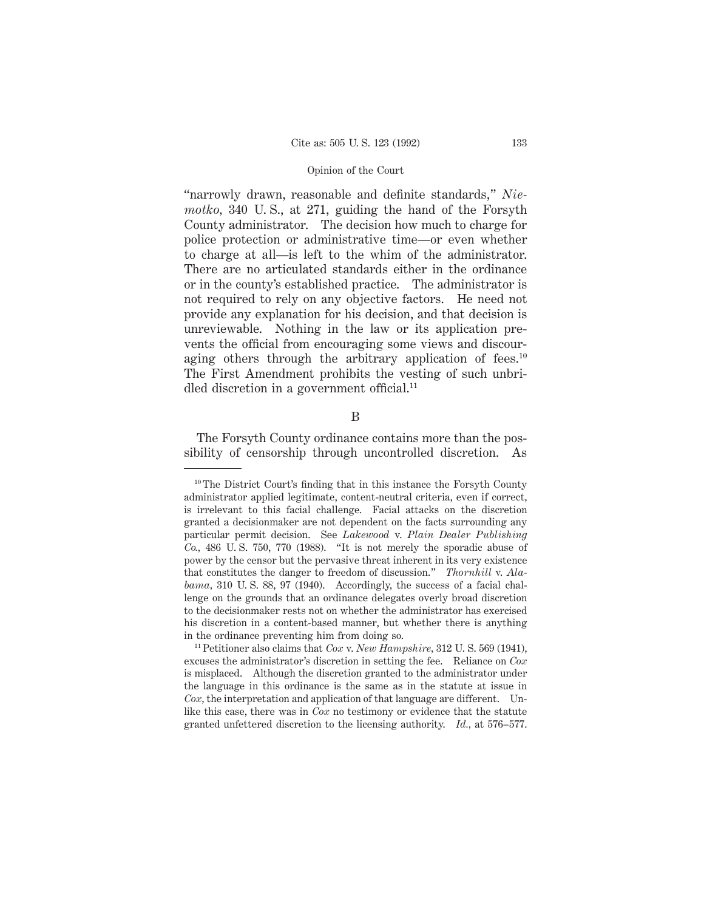"narrowly drawn, reasonable and definite standards," *Niemotko,* 340 U. S., at 271, guiding the hand of the Forsyth County administrator. The decision how much to charge for police protection or administrative time—or even whether to charge at all—is left to the whim of the administrator. There are no articulated standards either in the ordinance or in the county's established practice. The administrator is not required to rely on any objective factors. He need not provide any explanation for his decision, and that decision is unreviewable. Nothing in the law or its application prevents the official from encouraging some views and discouraging others through the arbitrary application of fees.<sup>10</sup> The First Amendment prohibits the vesting of such unbridled discretion in a government official.11

## B

The Forsyth County ordinance contains more than the possibility of censorship through uncontrolled discretion. As

<sup>&</sup>lt;sup>10</sup> The District Court's finding that in this instance the Forsyth County administrator applied legitimate, content-neutral criteria, even if correct, is irrelevant to this facial challenge. Facial attacks on the discretion granted a decisionmaker are not dependent on the facts surrounding any particular permit decision. See *Lakewood* v. *Plain Dealer Publishing Co.,* 486 U. S. 750, 770 (1988). "It is not merely the sporadic abuse of power by the censor but the pervasive threat inherent in its very existence that constitutes the danger to freedom of discussion." *Thornhill* v. *Alabama,* 310 U. S. 88, 97 (1940). Accordingly, the success of a facial challenge on the grounds that an ordinance delegates overly broad discretion to the decisionmaker rests not on whether the administrator has exercised his discretion in a content-based manner, but whether there is anything in the ordinance preventing him from doing so.

<sup>11</sup> Petitioner also claims that *Cox* v. *New Hampshire,* 312 U. S. 569 (1941), excuses the administrator's discretion in setting the fee. Reliance on *Cox* is misplaced. Although the discretion granted to the administrator under the language in this ordinance is the same as in the statute at issue in *Cox,* the interpretation and application of that language are different. Unlike this case, there was in *Cox* no testimony or evidence that the statute granted unfettered discretion to the licensing authority. *Id.,* at 576–577.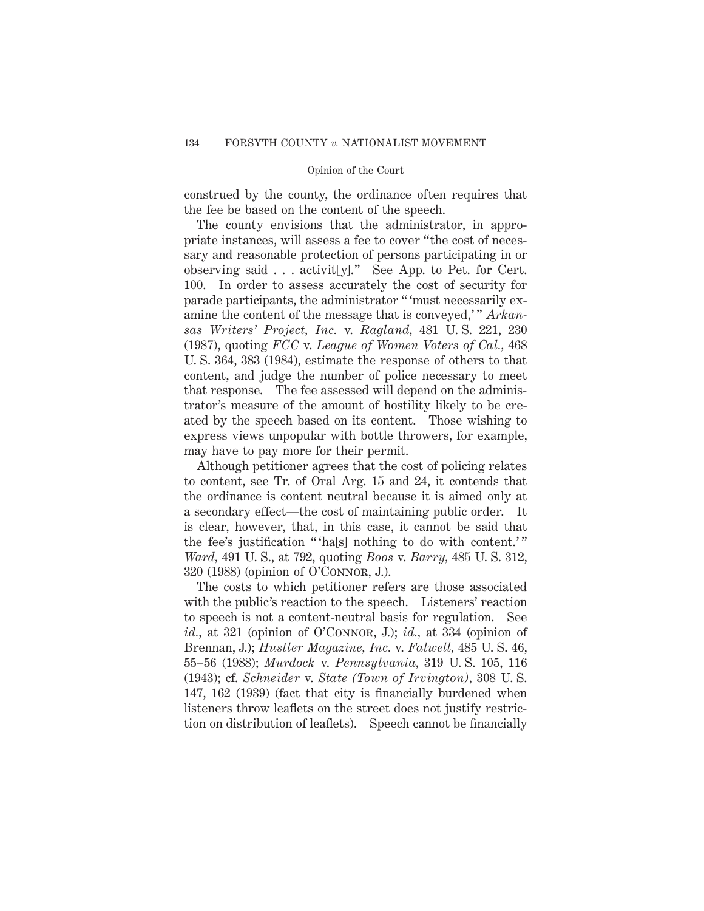construed by the county, the ordinance often requires that the fee be based on the content of the speech.

The county envisions that the administrator, in appropriate instances, will assess a fee to cover "the cost of necessary and reasonable protection of persons participating in or observing said . . . activit[y]." See App. to Pet. for Cert. 100. In order to assess accurately the cost of security for parade participants, the administrator " 'must necessarily examine the content of the message that is conveyed,'" *Arkansas Writers' Project, Inc.* v. *Ragland,* 481 U. S. 221, 230 (1987), quoting *FCC* v. *League of Women Voters of Cal.,* 468 U. S. 364, 383 (1984), estimate the response of others to that content, and judge the number of police necessary to meet that response. The fee assessed will depend on the administrator's measure of the amount of hostility likely to be created by the speech based on its content. Those wishing to express views unpopular with bottle throwers, for example, may have to pay more for their permit.

Although petitioner agrees that the cost of policing relates to content, see Tr. of Oral Arg. 15 and 24, it contends that the ordinance is content neutral because it is aimed only at a secondary effect—the cost of maintaining public order. It is clear, however, that, in this case, it cannot be said that the fee's justification " 'ha[s] nothing to do with content.' " *Ward,* 491 U. S., at 792, quoting *Boos* v. *Barry,* 485 U. S. 312, 320 (1988) (opinion of O'Connor, J.).

The costs to which petitioner refers are those associated with the public's reaction to the speech. Listeners' reaction to speech is not a content-neutral basis for regulation. See *id.*, at 321 (opinion of O'CONNOR, J.); *id.*, at 334 (opinion of Brennan, J.); *Hustler Magazine, Inc.* v. *Falwell,* 485 U. S. 46, 55–56 (1988); *Murdock* v. *Pennsylvania,* 319 U. S. 105, 116 (1943); cf. *Schneider* v. *State (Town of Irvington),* 308 U. S. 147, 162 (1939) (fact that city is financially burdened when listeners throw leaflets on the street does not justify restriction on distribution of leaflets). Speech cannot be financially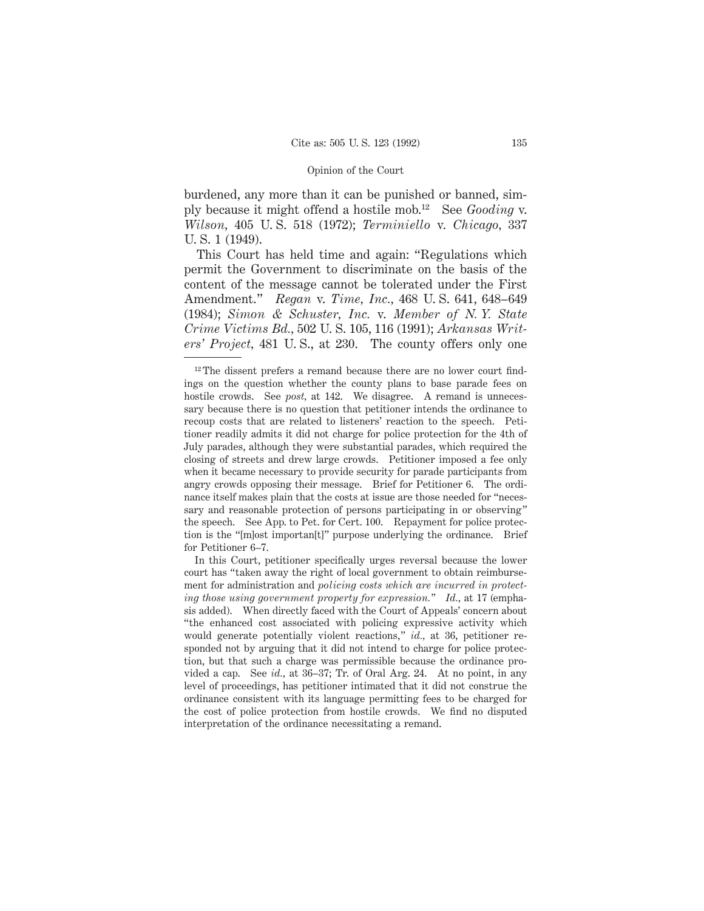burdened, any more than it can be punished or banned, simply because it might offend a hostile mob.12 See *Gooding* v. *Wilson,* 405 U. S. 518 (1972); *Terminiello* v. *Chicago,* 337 U. S. 1 (1949).

This Court has held time and again: "Regulations which permit the Government to discriminate on the basis of the content of the message cannot be tolerated under the First Amendment." *Regan* v. *Time, Inc.,* 468 U. S. 641, 648–649 (1984); *Simon & Schuster, Inc.* v. *Member of N. Y. State Crime Victims Bd.,* 502 U. S. 105, 116 (1991); *Arkansas Writers' Project,* 481 U. S., at 230. The county offers only one

 $12$  The dissent prefers a remand because there are no lower court findings on the question whether the county plans to base parade fees on hostile crowds. See *post*, at 142. We disagree. A remand is unnecessary because there is no question that petitioner intends the ordinance to recoup costs that are related to listeners' reaction to the speech. Petitioner readily admits it did not charge for police protection for the 4th of July parades, although they were substantial parades, which required the closing of streets and drew large crowds. Petitioner imposed a fee only when it became necessary to provide security for parade participants from angry crowds opposing their message. Brief for Petitioner 6. The ordinance itself makes plain that the costs at issue are those needed for "necessary and reasonable protection of persons participating in or observing" the speech. See App. to Pet. for Cert. 100. Repayment for police protection is the "[m]ost importan[t]" purpose underlying the ordinance. Brief for Petitioner 6–7.

In this Court, petitioner specifically urges reversal because the lower court has "taken away the right of local government to obtain reimbursement for administration and *policing costs which are incurred in protecting those using government property for expression." Id.,* at 17 (emphasis added). When directly faced with the Court of Appeals' concern about "the enhanced cost associated with policing expressive activity which would generate potentially violent reactions," *id.,* at 36, petitioner responded not by arguing that it did not intend to charge for police protection, but that such a charge was permissible because the ordinance provided a cap. See *id.,* at 36–37; Tr. of Oral Arg. 24. At no point, in any level of proceedings, has petitioner intimated that it did not construe the ordinance consistent with its language permitting fees to be charged for the cost of police protection from hostile crowds. We find no disputed interpretation of the ordinance necessitating a remand.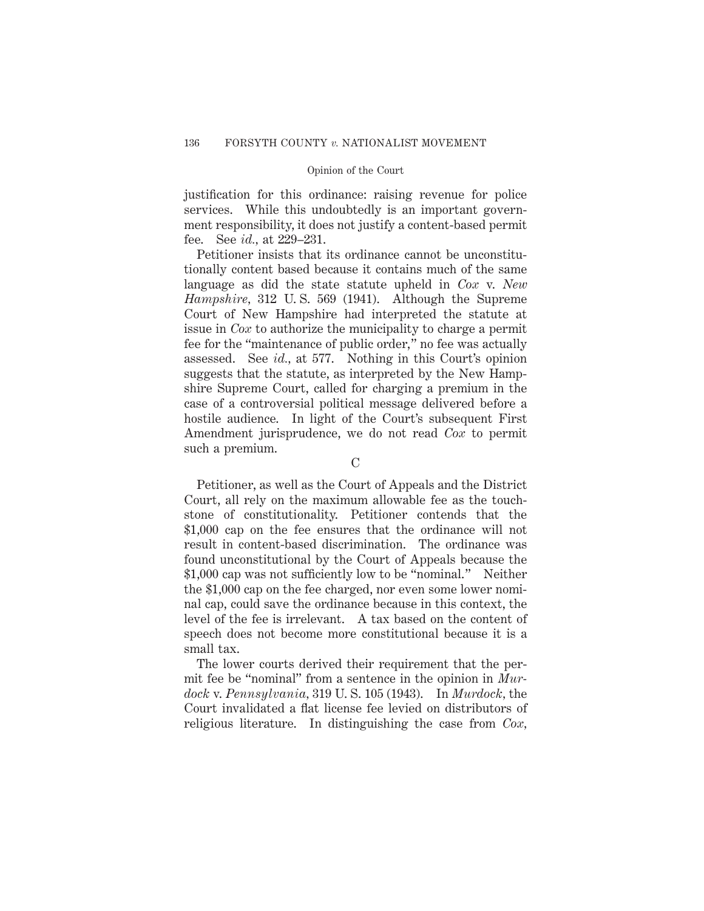justification for this ordinance: raising revenue for police services. While this undoubtedly is an important government responsibility, it does not justify a content-based permit fee. See *id.,* at 229–231.

Petitioner insists that its ordinance cannot be unconstitutionally content based because it contains much of the same language as did the state statute upheld in *Cox* v. *New Hampshire,* 312 U. S. 569 (1941). Although the Supreme Court of New Hampshire had interpreted the statute at issue in *Cox* to authorize the municipality to charge a permit fee for the "maintenance of public order," no fee was actually assessed. See *id.,* at 577. Nothing in this Court's opinion suggests that the statute, as interpreted by the New Hampshire Supreme Court, called for charging a premium in the case of a controversial political message delivered before a hostile audience. In light of the Court's subsequent First Amendment jurisprudence, we do not read *Cox* to permit such a premium.

# C

Petitioner, as well as the Court of Appeals and the District Court, all rely on the maximum allowable fee as the touchstone of constitutionality. Petitioner contends that the \$1,000 cap on the fee ensures that the ordinance will not result in content-based discrimination. The ordinance was found unconstitutional by the Court of Appeals because the \$1,000 cap was not sufficiently low to be "nominal." Neither the \$1,000 cap on the fee charged, nor even some lower nominal cap, could save the ordinance because in this context, the level of the fee is irrelevant. A tax based on the content of speech does not become more constitutional because it is a small tax.

The lower courts derived their requirement that the permit fee be "nominal" from a sentence in the opinion in *Murdock* v. *Pennsylvania,* 319 U. S. 105 (1943). In *Murdock,* the Court invalidated a flat license fee levied on distributors of religious literature. In distinguishing the case from *Cox,*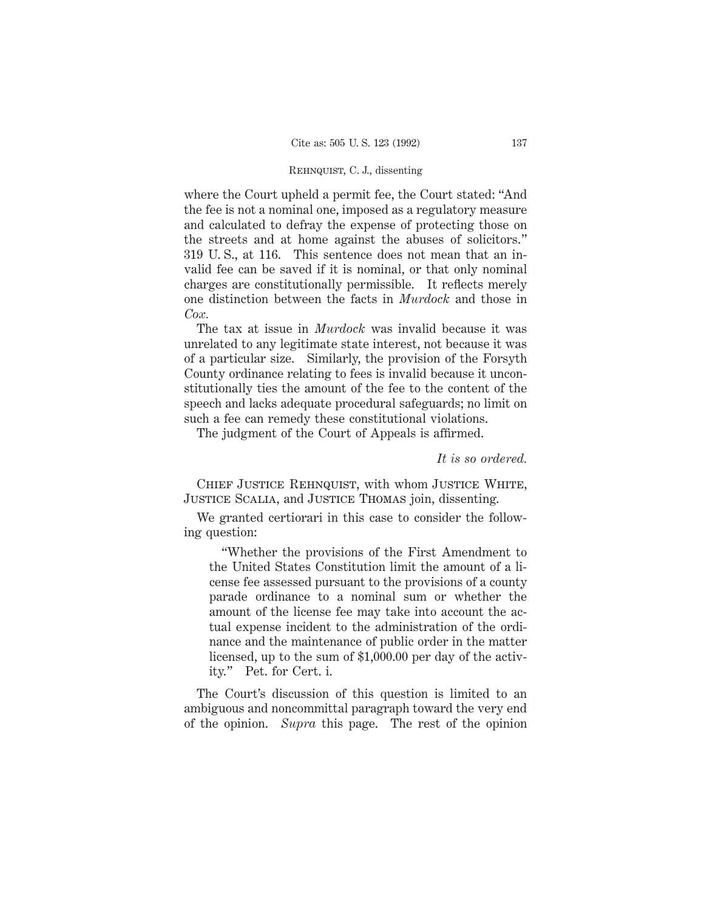where the Court upheld a permit fee, the Court stated: "And the fee is not a nominal one, imposed as a regulatory measure and calculated to defray the expense of protecting those on the streets and at home against the abuses of solicitors." 319 U. S., at 116. This sentence does not mean that an invalid fee can be saved if it is nominal, or that only nominal charges are constitutionally permissible. It reflects merely one distinction between the facts in *Murdock* and those in *Cox.*

The tax at issue in *Murdock* was invalid because it was unrelated to any legitimate state interest, not because it was of a particular size. Similarly, the provision of the Forsyth County ordinance relating to fees is invalid because it unconstitutionally ties the amount of the fee to the content of the speech and lacks adequate procedural safeguards; no limit on such a fee can remedy these constitutional violations.

The judgment of the Court of Appeals is affirmed.

*It is so ordered.*

CHIEF JUSTICE REHNQUIST, with whom JUSTICE WHITE, Justice Scalia, and Justice Thomas join, dissenting.

We granted certiorari in this case to consider the following question:

"Whether the provisions of the First Amendment to the United States Constitution limit the amount of a license fee assessed pursuant to the provisions of a county parade ordinance to a nominal sum or whether the amount of the license fee may take into account the actual expense incident to the administration of the ordinance and the maintenance of public order in the matter licensed, up to the sum of \$1,000.00 per day of the activity." Pet. for Cert. i.

The Court's discussion of this question is limited to an ambiguous and noncommittal paragraph toward the very end of the opinion. *Supra* this page. The rest of the opinion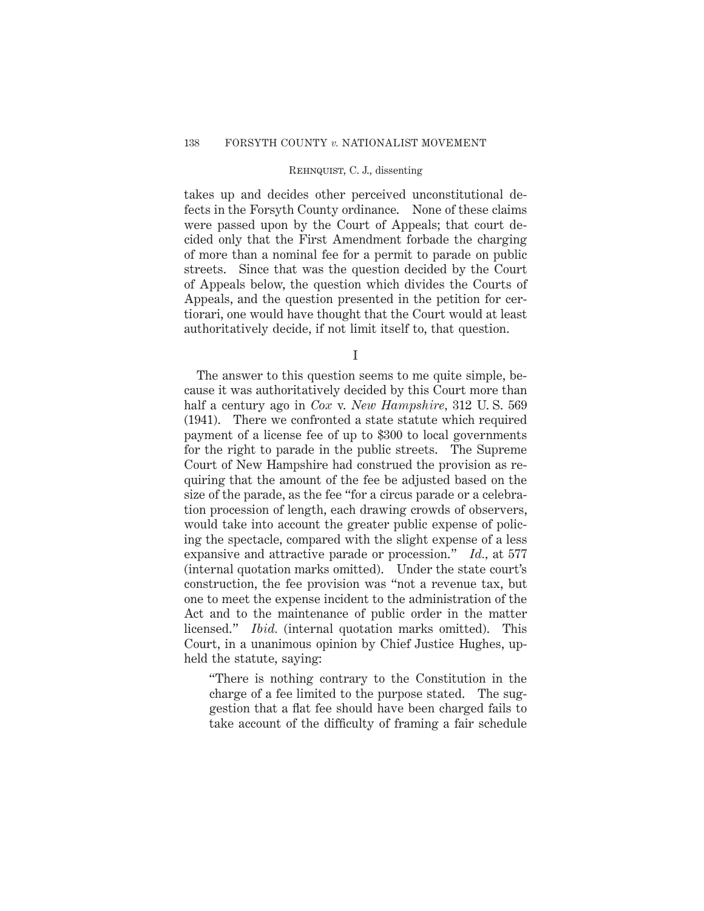takes up and decides other perceived unconstitutional defects in the Forsyth County ordinance. None of these claims were passed upon by the Court of Appeals; that court decided only that the First Amendment forbade the charging of more than a nominal fee for a permit to parade on public streets. Since that was the question decided by the Court of Appeals below, the question which divides the Courts of Appeals, and the question presented in the petition for certiorari, one would have thought that the Court would at least authoritatively decide, if not limit itself to, that question.

I

The answer to this question seems to me quite simple, because it was authoritatively decided by this Court more than half a century ago in *Cox* v. *New Hampshire,* 312 U. S. 569 (1941). There we confronted a state statute which required payment of a license fee of up to \$300 to local governments for the right to parade in the public streets. The Supreme Court of New Hampshire had construed the provision as requiring that the amount of the fee be adjusted based on the size of the parade, as the fee "for a circus parade or a celebration procession of length, each drawing crowds of observers, would take into account the greater public expense of policing the spectacle, compared with the slight expense of a less expansive and attractive parade or procession." *Id.,* at 577 (internal quotation marks omitted). Under the state court's construction, the fee provision was "not a revenue tax, but one to meet the expense incident to the administration of the Act and to the maintenance of public order in the matter licensed." *Ibid.* (internal quotation marks omitted). This Court, in a unanimous opinion by Chief Justice Hughes, upheld the statute, saying:

"There is nothing contrary to the Constitution in the charge of a fee limited to the purpose stated. The suggestion that a flat fee should have been charged fails to take account of the difficulty of framing a fair schedule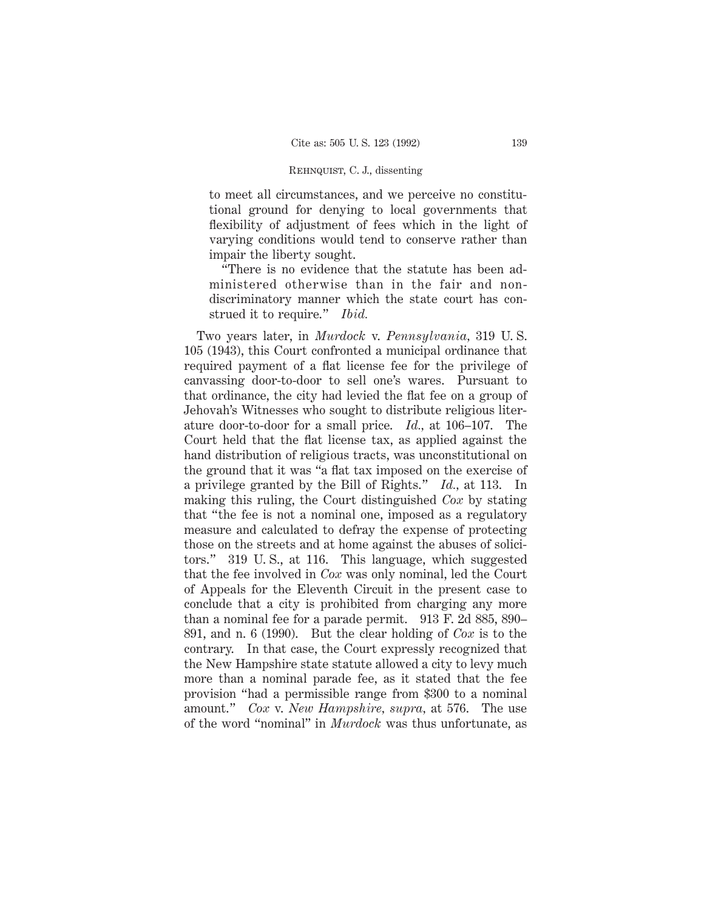to meet all circumstances, and we perceive no constitutional ground for denying to local governments that flexibility of adjustment of fees which in the light of varying conditions would tend to conserve rather than impair the liberty sought.

"There is no evidence that the statute has been administered otherwise than in the fair and nondiscriminatory manner which the state court has construed it to require." *Ibid.*

Two years later, in *Murdock* v. *Pennsylvania,* 319 U. S. 105 (1943), this Court confronted a municipal ordinance that required payment of a flat license fee for the privilege of canvassing door-to-door to sell one's wares. Pursuant to that ordinance, the city had levied the flat fee on a group of Jehovah's Witnesses who sought to distribute religious literature door-to-door for a small price. *Id.,* at 106–107. The Court held that the flat license tax, as applied against the hand distribution of religious tracts, was unconstitutional on the ground that it was "a flat tax imposed on the exercise of a privilege granted by the Bill of Rights." *Id.,* at 113. In making this ruling, the Court distinguished *Cox* by stating that "the fee is not a nominal one, imposed as a regulatory measure and calculated to defray the expense of protecting those on the streets and at home against the abuses of solicitors." 319 U. S., at 116. This language, which suggested that the fee involved in *Cox* was only nominal, led the Court of Appeals for the Eleventh Circuit in the present case to conclude that a city is prohibited from charging any more than a nominal fee for a parade permit. 913 F. 2d 885, 890– 891, and n. 6 (1990). But the clear holding of *Cox* is to the contrary. In that case, the Court expressly recognized that the New Hampshire state statute allowed a city to levy much more than a nominal parade fee, as it stated that the fee provision "had a permissible range from \$300 to a nominal amount." *Cox* v. *New Hampshire, supra,* at 576. The use of the word "nominal" in *Murdock* was thus unfortunate, as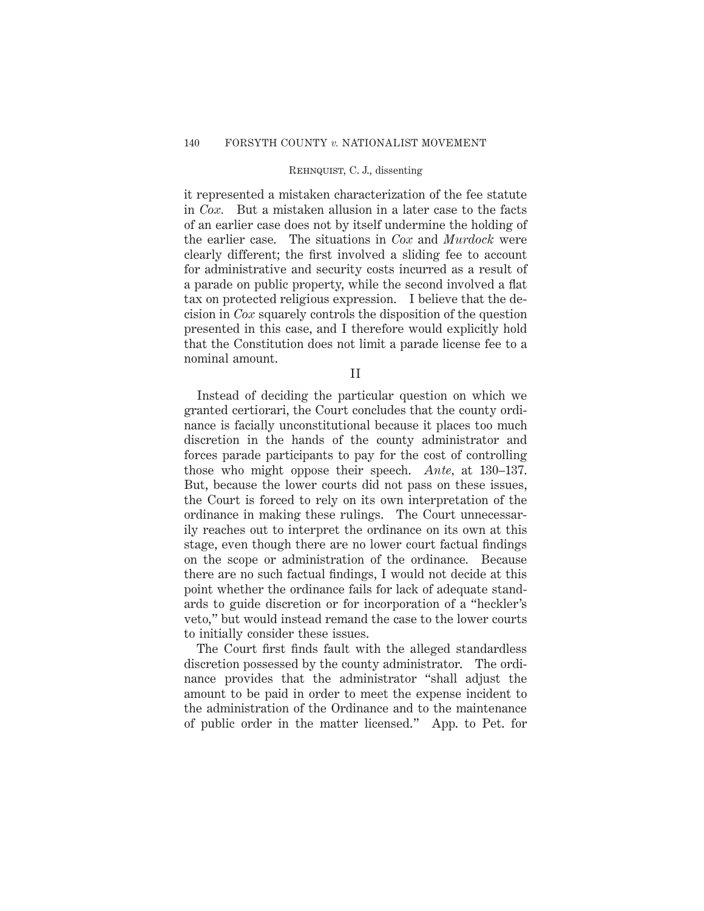it represented a mistaken characterization of the fee statute in *Cox.* But a mistaken allusion in a later case to the facts of an earlier case does not by itself undermine the holding of the earlier case. The situations in *Cox* and *Murdock* were clearly different; the first involved a sliding fee to account for administrative and security costs incurred as a result of a parade on public property, while the second involved a flat tax on protected religious expression. I believe that the decision in *Cox* squarely controls the disposition of the question presented in this case, and I therefore would explicitly hold that the Constitution does not limit a parade license fee to a nominal amount.

II

Instead of deciding the particular question on which we granted certiorari, the Court concludes that the county ordinance is facially unconstitutional because it places too much discretion in the hands of the county administrator and forces parade participants to pay for the cost of controlling those who might oppose their speech. *Ante,* at 130–137. But, because the lower courts did not pass on these issues, the Court is forced to rely on its own interpretation of the ordinance in making these rulings. The Court unnecessarily reaches out to interpret the ordinance on its own at this stage, even though there are no lower court factual findings on the scope or administration of the ordinance. Because there are no such factual findings, I would not decide at this point whether the ordinance fails for lack of adequate standards to guide discretion or for incorporation of a "heckler's veto," but would instead remand the case to the lower courts to initially consider these issues.

The Court first finds fault with the alleged standardless discretion possessed by the county administrator. The ordinance provides that the administrator "shall adjust the amount to be paid in order to meet the expense incident to the administration of the Ordinance and to the maintenance of public order in the matter licensed." App. to Pet. for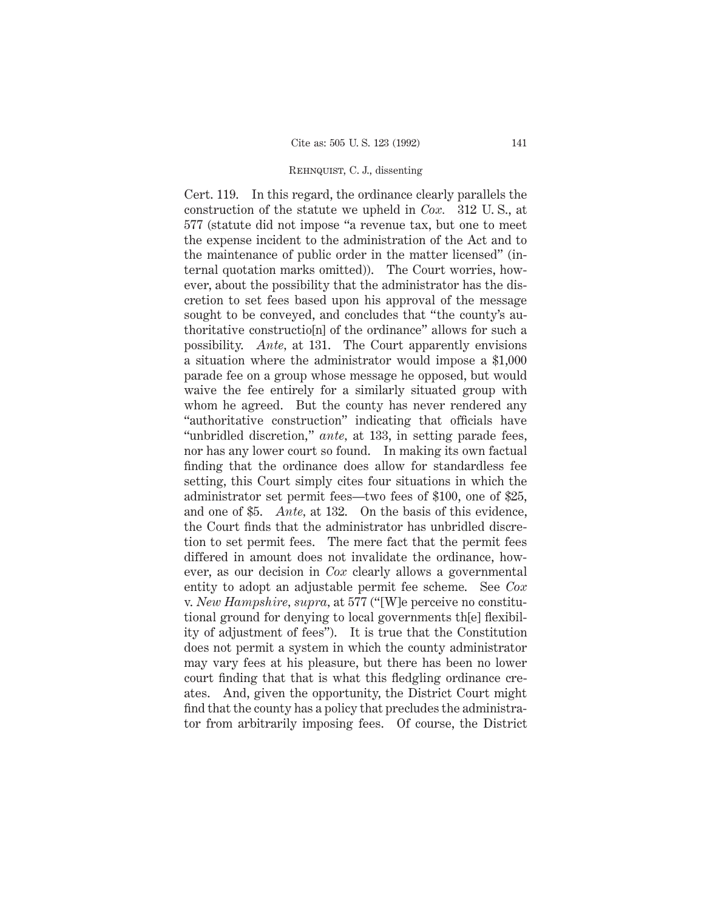Cert. 119. In this regard, the ordinance clearly parallels the construction of the statute we upheld in *Cox.* 312 U. S., at 577 (statute did not impose "a revenue tax, but one to meet the expense incident to the administration of the Act and to the maintenance of public order in the matter licensed" (internal quotation marks omitted)). The Court worries, however, about the possibility that the administrator has the discretion to set fees based upon his approval of the message sought to be conveyed, and concludes that "the county's authoritative constructio[n] of the ordinance" allows for such a possibility. *Ante,* at 131. The Court apparently envisions a situation where the administrator would impose a \$1,000 parade fee on a group whose message he opposed, but would waive the fee entirely for a similarly situated group with whom he agreed. But the county has never rendered any "authoritative construction" indicating that officials have "unbridled discretion," *ante,* at 133, in setting parade fees, nor has any lower court so found. In making its own factual finding that the ordinance does allow for standardless fee setting, this Court simply cites four situations in which the administrator set permit fees—two fees of \$100, one of \$25, and one of \$5. *Ante,* at 132. On the basis of this evidence, the Court finds that the administrator has unbridled discretion to set permit fees. The mere fact that the permit fees differed in amount does not invalidate the ordinance, however, as our decision in *Cox* clearly allows a governmental entity to adopt an adjustable permit fee scheme. See *Cox* v. *New Hampshire, supra,* at 577 ("[W]e perceive no constitutional ground for denying to local governments th[e] flexibility of adjustment of fees"). It is true that the Constitution does not permit a system in which the county administrator may vary fees at his pleasure, but there has been no lower court finding that that is what this fledgling ordinance creates. And, given the opportunity, the District Court might find that the county has a policy that precludes the administrator from arbitrarily imposing fees. Of course, the District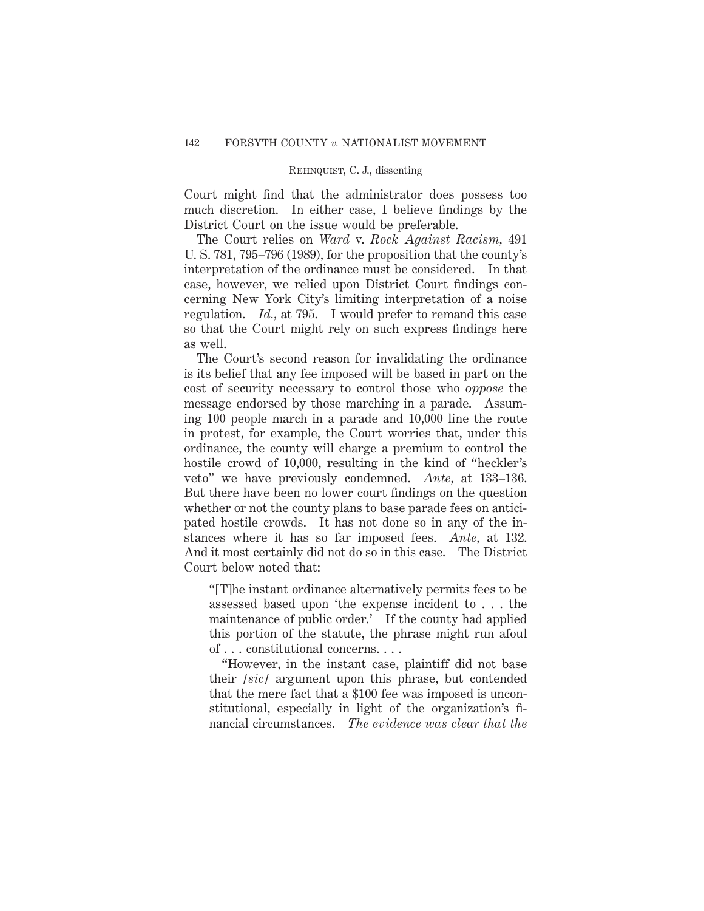Court might find that the administrator does possess too much discretion. In either case, I believe findings by the District Court on the issue would be preferable.

The Court relies on *Ward* v. *Rock Against Racism,* 491 U. S. 781, 795–796 (1989), for the proposition that the county's interpretation of the ordinance must be considered. In that case, however, we relied upon District Court findings concerning New York City's limiting interpretation of a noise regulation. *Id.,* at 795. I would prefer to remand this case so that the Court might rely on such express findings here as well.

The Court's second reason for invalidating the ordinance is its belief that any fee imposed will be based in part on the cost of security necessary to control those who *oppose* the message endorsed by those marching in a parade. Assuming 100 people march in a parade and 10,000 line the route in protest, for example, the Court worries that, under this ordinance, the county will charge a premium to control the hostile crowd of 10,000, resulting in the kind of "heckler's veto" we have previously condemned. *Ante,* at 133–136. But there have been no lower court findings on the question whether or not the county plans to base parade fees on anticipated hostile crowds. It has not done so in any of the instances where it has so far imposed fees. *Ante,* at 132. And it most certainly did not do so in this case. The District Court below noted that:

"[T]he instant ordinance alternatively permits fees to be assessed based upon 'the expense incident to . . . the maintenance of public order.' If the county had applied this portion of the statute, the phrase might run afoul of . . . constitutional concerns....

"However, in the instant case, plaintiff did not base their *[sic]* argument upon this phrase, but contended that the mere fact that a \$100 fee was imposed is unconstitutional, especially in light of the organization's financial circumstances. *The evidence was clear that the*